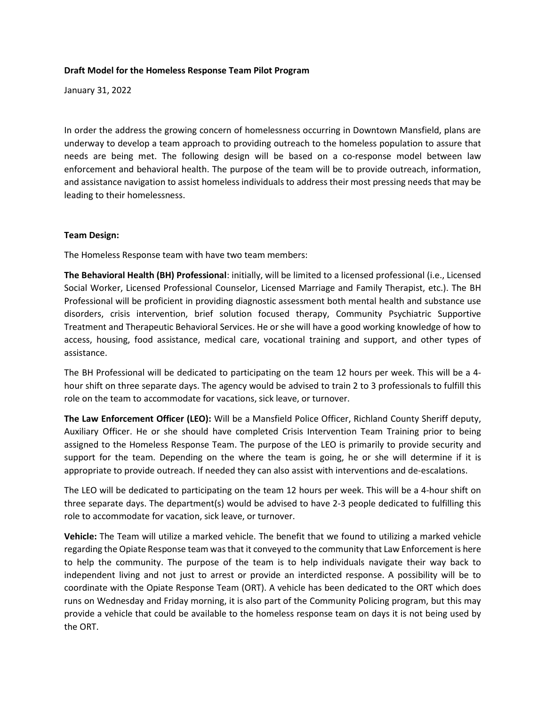## Draft Model for the Homeless Response Team Pilot Program

January 31, 2022

In order the address the growing concern of homelessness occurring in Downtown Mansfield, plans are underway to develop a team approach to providing outreach to the homeless population to assure that needs are being met. The following design will be based on a co-response model between law enforcement and behavioral health. The purpose of the team will be to provide outreach, information, and assistance navigation to assist homeless individuals to address their most pressing needs that may be leading to their homelessness.

## Team Design:

The Homeless Response team with have two team members:

The Behavioral Health (BH) Professional: initially, will be limited to a licensed professional (i.e., Licensed Social Worker, Licensed Professional Counselor, Licensed Marriage and Family Therapist, etc.). The BH Professional will be proficient in providing diagnostic assessment both mental health and substance use disorders, crisis intervention, brief solution focused therapy, Community Psychiatric Supportive Treatment and Therapeutic Behavioral Services. He or she will have a good working knowledge of how to access, housing, food assistance, medical care, vocational training and support, and other types of assistance.

The BH Professional will be dedicated to participating on the team 12 hours per week. This will be a 4 hour shift on three separate days. The agency would be advised to train 2 to 3 professionals to fulfill this role on the team to accommodate for vacations, sick leave, or turnover.

The Law Enforcement Officer (LEO): Will be a Mansfield Police Officer, Richland County Sheriff deputy, Auxiliary Officer. He or she should have completed Crisis Intervention Team Training prior to being assigned to the Homeless Response Team. The purpose of the LEO is primarily to provide security and support for the team. Depending on the where the team is going, he or she will determine if it is appropriate to provide outreach. If needed they can also assist with interventions and de-escalations.

The LEO will be dedicated to participating on the team 12 hours per week. This will be a 4-hour shift on three separate days. The department(s) would be advised to have 2-3 people dedicated to fulfilling this role to accommodate for vacation, sick leave, or turnover.

Vehicle: The Team will utilize a marked vehicle. The benefit that we found to utilizing a marked vehicle regarding the Opiate Response team was that it conveyed to the community that Law Enforcement is here to help the community. The purpose of the team is to help individuals navigate their way back to independent living and not just to arrest or provide an interdicted response. A possibility will be to coordinate with the Opiate Response Team (ORT). A vehicle has been dedicated to the ORT which does runs on Wednesday and Friday morning, it is also part of the Community Policing program, but this may provide a vehicle that could be available to the homeless response team on days it is not being used by the ORT.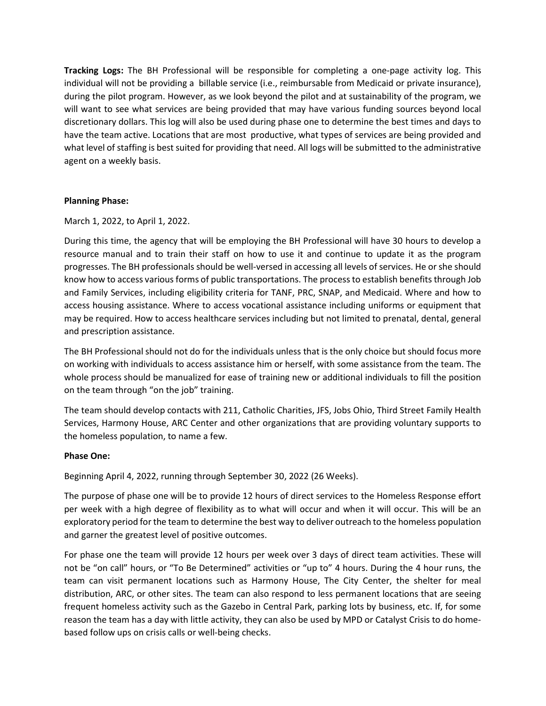Tracking Logs: The BH Professional will be responsible for completing a one-page activity log. This individual will not be providing a billable service (i.e., reimbursable from Medicaid or private insurance), during the pilot program. However, as we look beyond the pilot and at sustainability of the program, we will want to see what services are being provided that may have various funding sources beyond local discretionary dollars. This log will also be used during phase one to determine the best times and days to have the team active. Locations that are most productive, what types of services are being provided and what level of staffing is best suited for providing that need. All logs will be submitted to the administrative agent on a weekly basis.

# Planning Phase:

March 1, 2022, to April 1, 2022.

During this time, the agency that will be employing the BH Professional will have 30 hours to develop a resource manual and to train their staff on how to use it and continue to update it as the program progresses. The BH professionals should be well-versed in accessing all levels of services. He or she should know how to access various forms of public transportations. The process to establish benefits through Job and Family Services, including eligibility criteria for TANF, PRC, SNAP, and Medicaid. Where and how to access housing assistance. Where to access vocational assistance including uniforms or equipment that may be required. How to access healthcare services including but not limited to prenatal, dental, general and prescription assistance.

The BH Professional should not do for the individuals unless that is the only choice but should focus more on working with individuals to access assistance him or herself, with some assistance from the team. The whole process should be manualized for ease of training new or additional individuals to fill the position on the team through "on the job" training.

The team should develop contacts with 211, Catholic Charities, JFS, Jobs Ohio, Third Street Family Health Services, Harmony House, ARC Center and other organizations that are providing voluntary supports to the homeless population, to name a few.

## Phase One:

Beginning April 4, 2022, running through September 30, 2022 (26 Weeks).

The purpose of phase one will be to provide 12 hours of direct services to the Homeless Response effort per week with a high degree of flexibility as to what will occur and when it will occur. This will be an exploratory period for the team to determine the best way to deliver outreach to the homeless population and garner the greatest level of positive outcomes.

For phase one the team will provide 12 hours per week over 3 days of direct team activities. These will not be "on call" hours, or "To Be Determined" activities or "up to" 4 hours. During the 4 hour runs, the team can visit permanent locations such as Harmony House, The City Center, the shelter for meal distribution, ARC, or other sites. The team can also respond to less permanent locations that are seeing frequent homeless activity such as the Gazebo in Central Park, parking lots by business, etc. If, for some reason the team has a day with little activity, they can also be used by MPD or Catalyst Crisis to do homebased follow ups on crisis calls or well-being checks.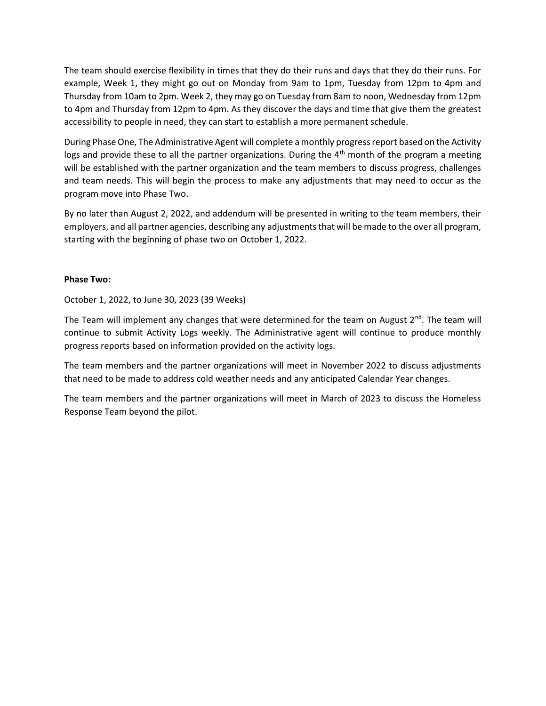The team should exercise flexibility in times that they do their runs and days that they do their runs. For example, Week 1, they might go out on Monday from 9am to 1pm, Tuesday from 12pm to 4pm and Thursday from 10am to 2pm. Week 2, they may go on Tuesday from 8am to noon, Wednesday from 12pm to 4pm and Thursday from 12pm to 4pm. As they discover the days and time that give them the greatest accessibility to people in need, they can start to establish a more permanent schedule.

During Phase One, The Administrative Agent will complete a monthly progress report based on the Activity logs and provide these to all the partner organizations. During the  $4<sup>th</sup>$  month of the program a meeting will be established with the partner organization and the team members to discuss progress, challenges and team needs. This will begin the process to make any adjustments that may need to occur as the program move into Phase Two.

By no later than August 2, 2022, and addendum will be presented in writing to the team members, their employers, and all partner agencies, describing any adjustments that will be made to the over all program, starting with the beginning of phase two on October 1, 2022.

## Phase Two:

October 1, 2022, to June 30, 2023 (39 Weeks)

The Team will implement any changes that were determined for the team on August  $2^{nd}$ . The team will continue to submit Activity Logs weekly. The Administrative agent will continue to produce monthly progress reports based on information provided on the activity logs.

The team members and the partner organizations will meet in November 2022 to discuss adjustments that need to be made to address cold weather needs and any anticipated Calendar Year changes.

The team members and the partner organizations will meet in March of 2023 to discuss the Homeless Response Team beyond the pilot.